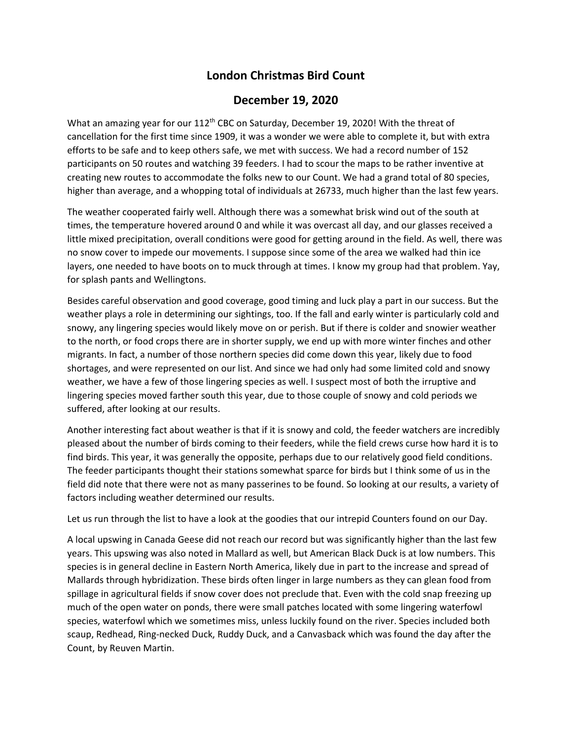## **London Christmas Bird Count**

## **December 19, 2020**

What an amazing year for our 112<sup>th</sup> CBC on Saturday, December 19, 2020! With the threat of cancellation for the first time since 1909, it was a wonder we were able to complete it, but with extra efforts to be safe and to keep others safe, we met with success. We had a record number of 152 participants on 50 routes and watching 39 feeders. I had to scour the maps to be rather inventive at creating new routes to accommodate the folks new to our Count. We had a grand total of 80 species, higher than average, and a whopping total of individuals at 26733, much higher than the last few years.

The weather cooperated fairly well. Although there was a somewhat brisk wind out of the south at times, the temperature hovered around 0 and while it was overcast all day, and our glasses received a little mixed precipitation, overall conditions were good for getting around in the field. As well, there was no snow cover to impede our movements. I suppose since some of the area we walked had thin ice layers, one needed to have boots on to muck through at times. I know my group had that problem. Yay, for splash pants and Wellingtons.

Besides careful observation and good coverage, good timing and luck play a part in our success. But the weather plays a role in determining our sightings, too. If the fall and early winter is particularly cold and snowy, any lingering species would likely move on or perish. But if there is colder and snowier weather to the north, or food crops there are in shorter supply, we end up with more winter finches and other migrants. In fact, a number of those northern species did come down this year, likely due to food shortages, and were represented on our list. And since we had only had some limited cold and snowy weather, we have a few of those lingering species as well. I suspect most of both the irruptive and lingering species moved farther south this year, due to those couple of snowy and cold periods we suffered, after looking at our results.

Another interesting fact about weather is that if it is snowy and cold, the feeder watchers are incredibly pleased about the number of birds coming to their feeders, while the field crews curse how hard it is to find birds. This year, it was generally the opposite, perhaps due to our relatively good field conditions. The feeder participants thought their stations somewhat sparce for birds but I think some of us in the field did note that there were not as many passerines to be found. So looking at our results, a variety of factors including weather determined our results.

Let us run through the list to have a look at the goodies that our intrepid Counters found on our Day.

A local upswing in Canada Geese did not reach our record but was significantly higher than the last few years. This upswing was also noted in Mallard as well, but American Black Duck is at low numbers. This species is in general decline in Eastern North America, likely due in part to the increase and spread of Mallards through hybridization. These birds often linger in large numbers as they can glean food from spillage in agricultural fields if snow cover does not preclude that. Even with the cold snap freezing up much of the open water on ponds, there were small patches located with some lingering waterfowl species, waterfowl which we sometimes miss, unless luckily found on the river. Species included both scaup, Redhead, Ring-necked Duck, Ruddy Duck, and a Canvasback which was found the day after the Count, by Reuven Martin.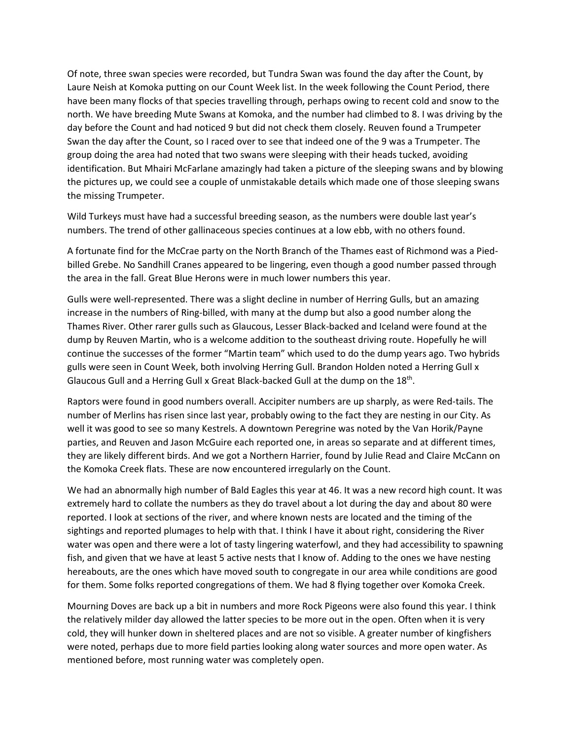Of note, three swan species were recorded, but Tundra Swan was found the day after the Count, by Laure Neish at Komoka putting on our Count Week list. In the week following the Count Period, there have been many flocks of that species travelling through, perhaps owing to recent cold and snow to the north. We have breeding Mute Swans at Komoka, and the number had climbed to 8. I was driving by the day before the Count and had noticed 9 but did not check them closely. Reuven found a Trumpeter Swan the day after the Count, so I raced over to see that indeed one of the 9 was a Trumpeter. The group doing the area had noted that two swans were sleeping with their heads tucked, avoiding identification. But Mhairi McFarlane amazingly had taken a picture of the sleeping swans and by blowing the pictures up, we could see a couple of unmistakable details which made one of those sleeping swans the missing Trumpeter.

Wild Turkeys must have had a successful breeding season, as the numbers were double last year's numbers. The trend of other gallinaceous species continues at a low ebb, with no others found.

A fortunate find for the McCrae party on the North Branch of the Thames east of Richmond was a Piedbilled Grebe. No Sandhill Cranes appeared to be lingering, even though a good number passed through the area in the fall. Great Blue Herons were in much lower numbers this year.

Gulls were well-represented. There was a slight decline in number of Herring Gulls, but an amazing increase in the numbers of Ring-billed, with many at the dump but also a good number along the Thames River. Other rarer gulls such as Glaucous, Lesser Black-backed and Iceland were found at the dump by Reuven Martin, who is a welcome addition to the southeast driving route. Hopefully he will continue the successes of the former "Martin team" which used to do the dump years ago. Two hybrids gulls were seen in Count Week, both involving Herring Gull. Brandon Holden noted a Herring Gull x Glaucous Gull and a Herring Gull x Great Black-backed Gull at the dump on the  $18<sup>th</sup>$ .

Raptors were found in good numbers overall. Accipiter numbers are up sharply, as were Red-tails. The number of Merlins has risen since last year, probably owing to the fact they are nesting in our City. As well it was good to see so many Kestrels. A downtown Peregrine was noted by the Van Horik/Payne parties, and Reuven and Jason McGuire each reported one, in areas so separate and at different times, they are likely different birds. And we got a Northern Harrier, found by Julie Read and Claire McCann on the Komoka Creek flats. These are now encountered irregularly on the Count.

We had an abnormally high number of Bald Eagles this year at 46. It was a new record high count. It was extremely hard to collate the numbers as they do travel about a lot during the day and about 80 were reported. I look at sections of the river, and where known nests are located and the timing of the sightings and reported plumages to help with that. I think I have it about right, considering the River water was open and there were a lot of tasty lingering waterfowl, and they had accessibility to spawning fish, and given that we have at least 5 active nests that I know of. Adding to the ones we have nesting hereabouts, are the ones which have moved south to congregate in our area while conditions are good for them. Some folks reported congregations of them. We had 8 flying together over Komoka Creek.

Mourning Doves are back up a bit in numbers and more Rock Pigeons were also found this year. I think the relatively milder day allowed the latter species to be more out in the open. Often when it is very cold, they will hunker down in sheltered places and are not so visible. A greater number of kingfishers were noted, perhaps due to more field parties looking along water sources and more open water. As mentioned before, most running water was completely open.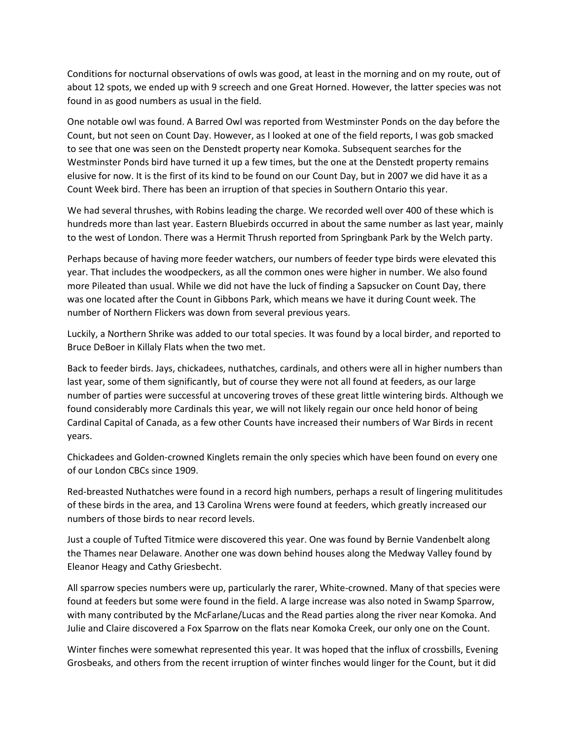Conditions for nocturnal observations of owls was good, at least in the morning and on my route, out of about 12 spots, we ended up with 9 screech and one Great Horned. However, the latter species was not found in as good numbers as usual in the field.

One notable owl was found. A Barred Owl was reported from Westminster Ponds on the day before the Count, but not seen on Count Day. However, as I looked at one of the field reports, I was gob smacked to see that one was seen on the Denstedt property near Komoka. Subsequent searches for the Westminster Ponds bird have turned it up a few times, but the one at the Denstedt property remains elusive for now. It is the first of its kind to be found on our Count Day, but in 2007 we did have it as a Count Week bird. There has been an irruption of that species in Southern Ontario this year.

We had several thrushes, with Robins leading the charge. We recorded well over 400 of these which is hundreds more than last year. Eastern Bluebirds occurred in about the same number as last year, mainly to the west of London. There was a Hermit Thrush reported from Springbank Park by the Welch party.

Perhaps because of having more feeder watchers, our numbers of feeder type birds were elevated this year. That includes the woodpeckers, as all the common ones were higher in number. We also found more Pileated than usual. While we did not have the luck of finding a Sapsucker on Count Day, there was one located after the Count in Gibbons Park, which means we have it during Count week. The number of Northern Flickers was down from several previous years.

Luckily, a Northern Shrike was added to our total species. It was found by a local birder, and reported to Bruce DeBoer in Killaly Flats when the two met.

Back to feeder birds. Jays, chickadees, nuthatches, cardinals, and others were all in higher numbers than last year, some of them significantly, but of course they were not all found at feeders, as our large number of parties were successful at uncovering troves of these great little wintering birds. Although we found considerably more Cardinals this year, we will not likely regain our once held honor of being Cardinal Capital of Canada, as a few other Counts have increased their numbers of War Birds in recent years.

Chickadees and Golden-crowned Kinglets remain the only species which have been found on every one of our London CBCs since 1909.

Red-breasted Nuthatches were found in a record high numbers, perhaps a result of lingering mulititudes of these birds in the area, and 13 Carolina Wrens were found at feeders, which greatly increased our numbers of those birds to near record levels.

Just a couple of Tufted Titmice were discovered this year. One was found by Bernie Vandenbelt along the Thames near Delaware. Another one was down behind houses along the Medway Valley found by Eleanor Heagy and Cathy Griesbecht.

All sparrow species numbers were up, particularly the rarer, White-crowned. Many of that species were found at feeders but some were found in the field. A large increase was also noted in Swamp Sparrow, with many contributed by the McFarlane/Lucas and the Read parties along the river near Komoka. And Julie and Claire discovered a Fox Sparrow on the flats near Komoka Creek, our only one on the Count.

Winter finches were somewhat represented this year. It was hoped that the influx of crossbills, Evening Grosbeaks, and others from the recent irruption of winter finches would linger for the Count, but it did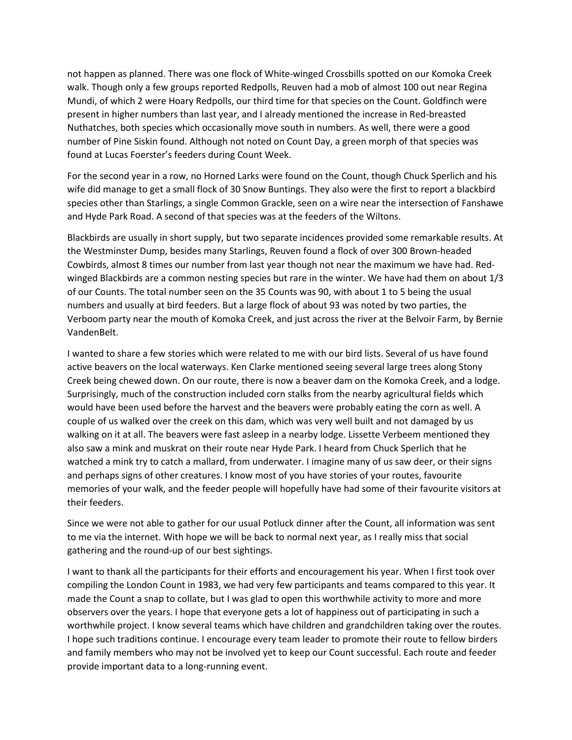not happen as planned. There was one flock of White-winged Crossbills spotted on our Komoka Creek walk. Though only a few groups reported Redpolls, Reuven had a mob of almost 100 out near Regina Mundi, of which 2 were Hoary Redpolls, our third time for that species on the Count. Goldfinch were present in higher numbers than last year, and I already mentioned the increase in Red-breasted Nuthatches, both species which occasionally move south in numbers. As well, there were a good number of Pine Siskin found. Although not noted on Count Day, a green morph of that species was found at Lucas Foerster's feeders during Count Week.

For the second year in a row, no Horned Larks were found on the Count, though Chuck Sperlich and his wife did manage to get a small flock of 30 Snow Buntings. They also were the first to report a blackbird species other than Starlings, a single Common Grackle, seen on a wire near the intersection of Fanshawe and Hyde Park Road. A second of that species was at the feeders of the Wiltons.

Blackbirds are usually in short supply, but two separate incidences provided some remarkable results. At the Westminster Dump, besides many Starlings, Reuven found a flock of over 300 Brown-headed Cowbirds, almost 8 times our number from last year though not near the maximum we have had. Redwinged Blackbirds are a common nesting species but rare in the winter. We have had them on about 1/3 of our Counts. The total number seen on the 35 Counts was 90, with about 1 to 5 being the usual numbers and usually at bird feeders. But a large flock of about 93 was noted by two parties, the Verboom party near the mouth of Komoka Creek, and just across the river at the Belvoir Farm, by Bernie VandenBelt.

I wanted to share a few stories which were related to me with our bird lists. Several of us have found active beavers on the local waterways. Ken Clarke mentioned seeing several large trees along Stony Creek being chewed down. On our route, there is now a beaver dam on the Komoka Creek, and a lodge. Surprisingly, much of the construction included corn stalks from the nearby agricultural fields which would have been used before the harvest and the beavers were probably eating the corn as well. A couple of us walked over the creek on this dam, which was very well built and not damaged by us walking on it at all. The beavers were fast asleep in a nearby lodge. Lissette Verbeem mentioned they also saw a mink and muskrat on their route near Hyde Park. I heard from Chuck Sperlich that he watched a mink try to catch a mallard, from underwater. I imagine many of us saw deer, or their signs and perhaps signs of other creatures. I know most of you have stories of your routes, favourite memories of your walk, and the feeder people will hopefully have had some of their favourite visitors at their feeders.

Since we were not able to gather for our usual Potluck dinner after the Count, all information was sent to me via the internet. With hope we will be back to normal next year, as I really miss that social gathering and the round-up of our best sightings.

I want to thank all the participants for their efforts and encouragement his year. When I first took over compiling the London Count in 1983, we had very few participants and teams compared to this year. It made the Count a snap to collate, but I was glad to open this worthwhile activity to more and more observers over the years. I hope that everyone gets a lot of happiness out of participating in such a worthwhile project. I know several teams which have children and grandchildren taking over the routes. I hope such traditions continue. I encourage every team leader to promote their route to fellow birders and family members who may not be involved yet to keep our Count successful. Each route and feeder provide important data to a long-running event.